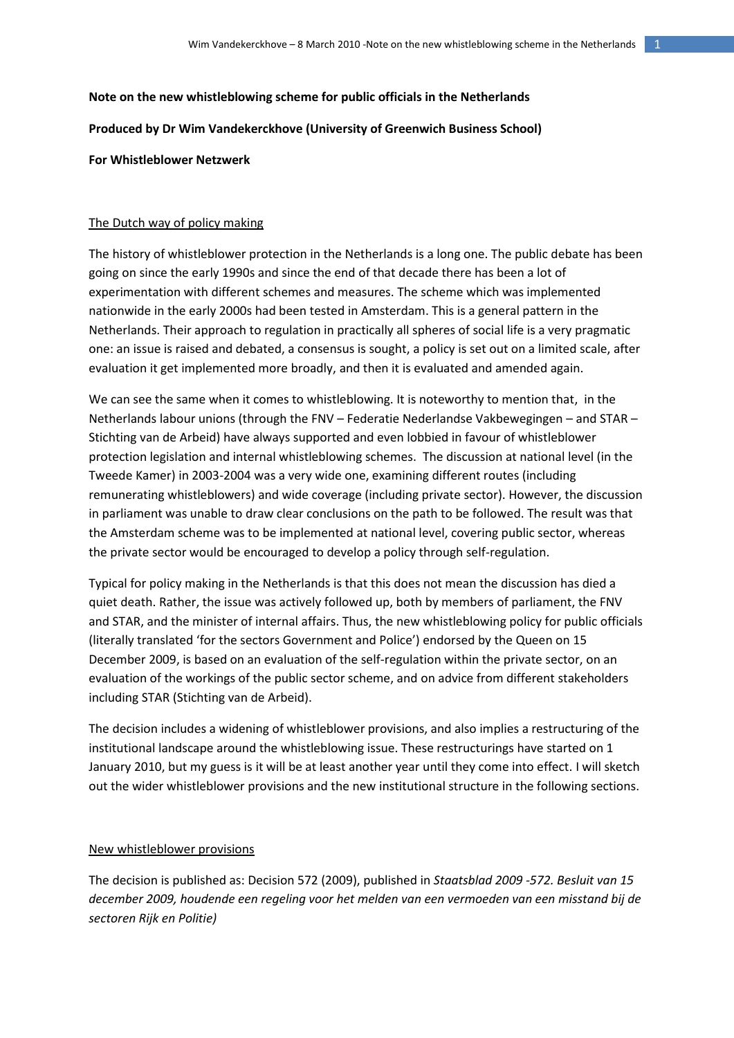# **Note on the new whistleblowing scheme for public officials in the Netherlands**

**Produced by Dr Wim Vandekerckhove (University of Greenwich Business School)**

## **For Whistleblower Netzwerk**

## The Dutch way of policy making

The history of whistleblower protection in the Netherlands is a long one. The public debate has been going on since the early 1990s and since the end of that decade there has been a lot of experimentation with different schemes and measures. The scheme which was implemented nationwide in the early 2000s had been tested in Amsterdam. This is a general pattern in the Netherlands. Their approach to regulation in practically all spheres of social life is a very pragmatic one: an issue is raised and debated, a consensus is sought, a policy is set out on a limited scale, after evaluation it get implemented more broadly, and then it is evaluated and amended again.

We can see the same when it comes to whistleblowing. It is noteworthy to mention that, in the Netherlands labour unions (through the FNV – Federatie Nederlandse Vakbewegingen – and STAR – Stichting van de Arbeid) have always supported and even lobbied in favour of whistleblower protection legislation and internal whistleblowing schemes. The discussion at national level (in the Tweede Kamer) in 2003-2004 was a very wide one, examining different routes (including remunerating whistleblowers) and wide coverage (including private sector). However, the discussion in parliament was unable to draw clear conclusions on the path to be followed. The result was that the Amsterdam scheme was to be implemented at national level, covering public sector, whereas the private sector would be encouraged to develop a policy through self-regulation.

Typical for policy making in the Netherlands is that this does not mean the discussion has died a quiet death. Rather, the issue was actively followed up, both by members of parliament, the FNV and STAR, and the minister of internal affairs. Thus, the new whistleblowing policy for public officials (literally translated 'for the sectors Government and Police') endorsed by the Queen on 15 December 2009, is based on an evaluation of the self-regulation within the private sector, on an evaluation of the workings of the public sector scheme, and on advice from different stakeholders including STAR (Stichting van de Arbeid).

The decision includes a widening of whistleblower provisions, and also implies a restructuring of the institutional landscape around the whistleblowing issue. These restructurings have started on 1 January 2010, but my guess is it will be at least another year until they come into effect. I will sketch out the wider whistleblower provisions and the new institutional structure in the following sections.

#### New whistleblower provisions

The decision is published as: Decision 572 (2009), published in *Staatsblad 2009 -572. Besluit van 15 december 2009, houdende een regeling voor het melden van een vermoeden van een misstand bij de sectoren Rijk en Politie)*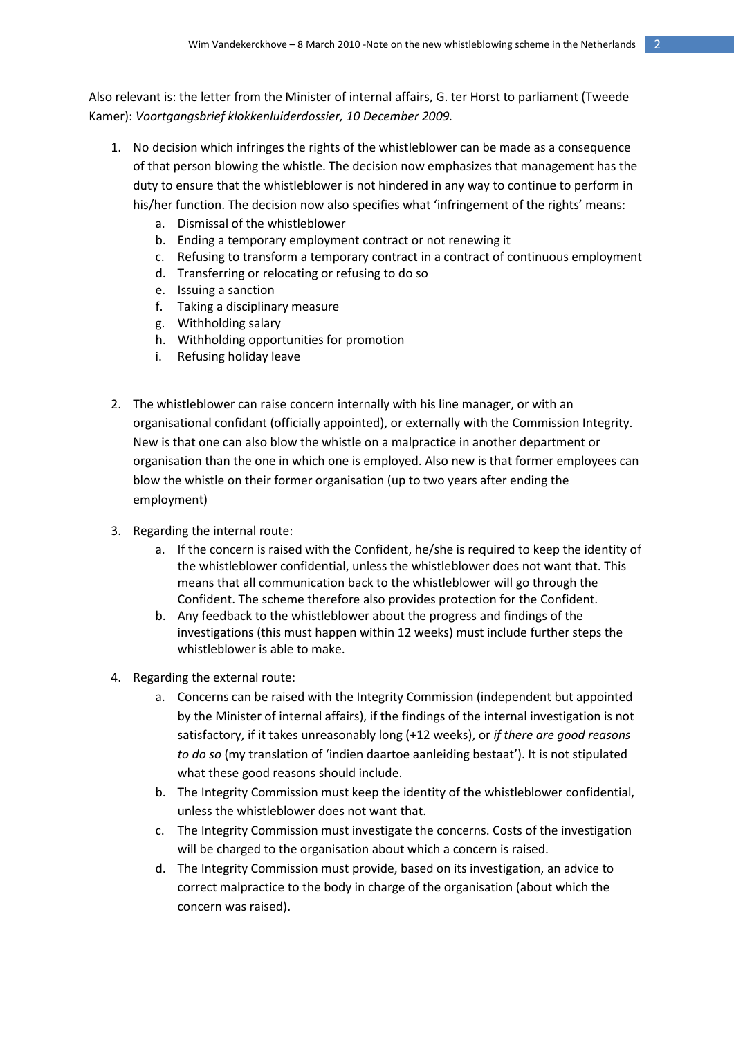Also relevant is: the letter from the Minister of internal affairs, G. ter Horst to parliament (Tweede Kamer): *Voortgangsbrief klokkenluiderdossier, 10 December 2009.*

- 1. No decision which infringes the rights of the whistleblower can be made as a consequence of that person blowing the whistle. The decision now emphasizes that management has the duty to ensure that the whistleblower is not hindered in any way to continue to perform in his/her function. The decision now also specifies what 'infringement of the rights' means:
	- a. Dismissal of the whistleblower
	- b. Ending a temporary employment contract or not renewing it
	- c. Refusing to transform a temporary contract in a contract of continuous employment
	- d. Transferring or relocating or refusing to do so
	- e. Issuing a sanction
	- f. Taking a disciplinary measure
	- g. Withholding salary
	- h. Withholding opportunities for promotion
	- i. Refusing holiday leave
- 2. The whistleblower can raise concern internally with his line manager, or with an organisational confidant (officially appointed), or externally with the Commission Integrity. New is that one can also blow the whistle on a malpractice in another department or organisation than the one in which one is employed. Also new is that former employees can blow the whistle on their former organisation (up to two years after ending the employment)
- 3. Regarding the internal route:
	- a. If the concern is raised with the Confident, he/she is required to keep the identity of the whistleblower confidential, unless the whistleblower does not want that. This means that all communication back to the whistleblower will go through the Confident. The scheme therefore also provides protection for the Confident.
	- b. Any feedback to the whistleblower about the progress and findings of the investigations (this must happen within 12 weeks) must include further steps the whistleblower is able to make.
- 4. Regarding the external route:
	- a. Concerns can be raised with the Integrity Commission (independent but appointed by the Minister of internal affairs), if the findings of the internal investigation is not satisfactory, if it takes unreasonably long (+12 weeks), or *if there are good reasons to do so* (my translation of 'indien daartoe aanleiding bestaat'). It is not stipulated what these good reasons should include.
	- b. The Integrity Commission must keep the identity of the whistleblower confidential, unless the whistleblower does not want that.
	- c. The Integrity Commission must investigate the concerns. Costs of the investigation will be charged to the organisation about which a concern is raised.
	- d. The Integrity Commission must provide, based on its investigation, an advice to correct malpractice to the body in charge of the organisation (about which the concern was raised).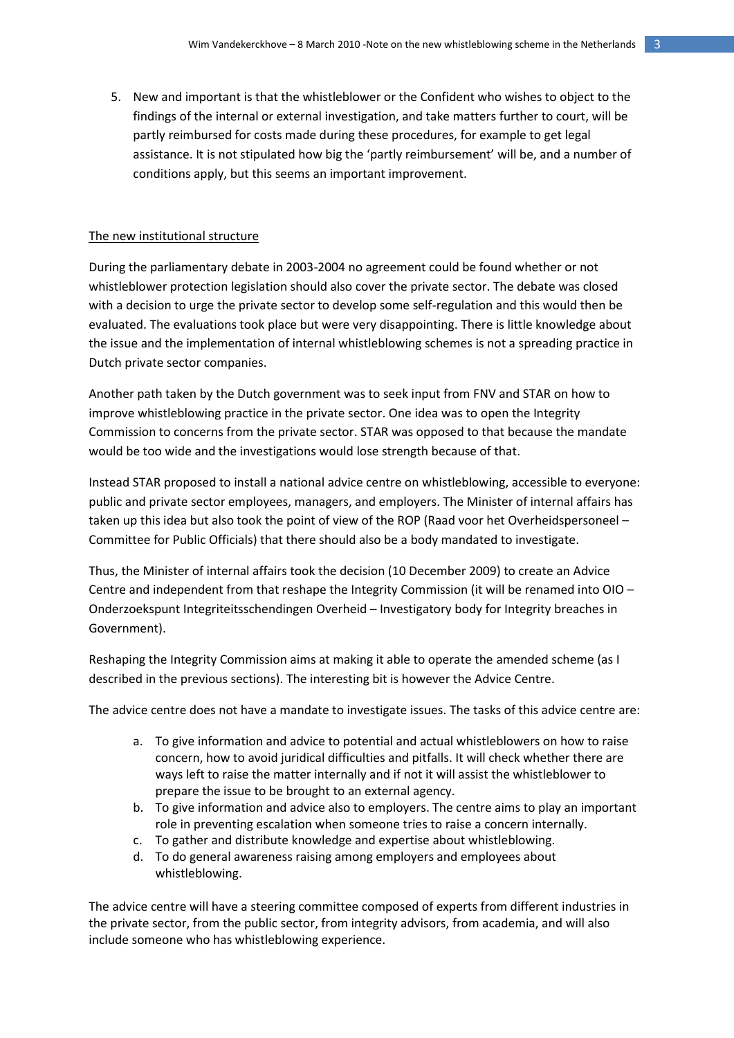5. New and important is that the whistleblower or the Confident who wishes to object to the findings of the internal or external investigation, and take matters further to court, will be partly reimbursed for costs made during these procedures, for example to get legal assistance. It is not stipulated how big the 'partly reimbursement' will be, and a number of conditions apply, but this seems an important improvement.

# The new institutional structure

During the parliamentary debate in 2003-2004 no agreement could be found whether or not whistleblower protection legislation should also cover the private sector. The debate was closed with a decision to urge the private sector to develop some self-regulation and this would then be evaluated. The evaluations took place but were very disappointing. There is little knowledge about the issue and the implementation of internal whistleblowing schemes is not a spreading practice in Dutch private sector companies.

Another path taken by the Dutch government was to seek input from FNV and STAR on how to improve whistleblowing practice in the private sector. One idea was to open the Integrity Commission to concerns from the private sector. STAR was opposed to that because the mandate would be too wide and the investigations would lose strength because of that.

Instead STAR proposed to install a national advice centre on whistleblowing, accessible to everyone: public and private sector employees, managers, and employers. The Minister of internal affairs has taken up this idea but also took the point of view of the ROP (Raad voor het Overheidspersoneel – Committee for Public Officials) that there should also be a body mandated to investigate.

Thus, the Minister of internal affairs took the decision (10 December 2009) to create an Advice Centre and independent from that reshape the Integrity Commission (it will be renamed into OIO – Onderzoekspunt Integriteitsschendingen Overheid – Investigatory body for Integrity breaches in Government).

Reshaping the Integrity Commission aims at making it able to operate the amended scheme (as I described in the previous sections). The interesting bit is however the Advice Centre.

The advice centre does not have a mandate to investigate issues. The tasks of this advice centre are:

- a. To give information and advice to potential and actual whistleblowers on how to raise concern, how to avoid juridical difficulties and pitfalls. It will check whether there are ways left to raise the matter internally and if not it will assist the whistleblower to prepare the issue to be brought to an external agency.
- b. To give information and advice also to employers. The centre aims to play an important role in preventing escalation when someone tries to raise a concern internally.
- c. To gather and distribute knowledge and expertise about whistleblowing.
- d. To do general awareness raising among employers and employees about whistleblowing.

The advice centre will have a steering committee composed of experts from different industries in the private sector, from the public sector, from integrity advisors, from academia, and will also include someone who has whistleblowing experience.